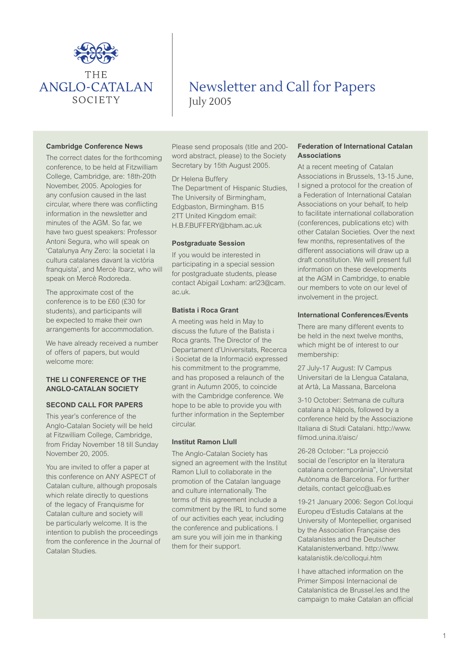

# Newsletter and Call for Papers July 2005

#### **Cambridge Conference News**

The correct dates for the forthcoming conference, to be held at Fitzwilliam College, Cambridge, are: 18th-20th November, 2005. Apologies for any confusion caused in the last circular, where there was conflicting information in the newsletter and minutes of the AGM. So far, we have two guest speakers: Professor Antoni Segura, who will speak on 'Catalunya Any Zero: la societat i la cultura catalanes davant la victòria franquista', and Mercè Ibarz, who will speak on Mercè Rodoreda.

The approximate cost of the conference is to be £60 (£30 for students), and participants will be expected to make their own arrangements for accommodation.

We have already received a number of offers of papers, but would welcome more:

# **THE LI CONFERENCE OF THE ANGLO-CATALAN SOCIETY**

#### **SECOND CALL FOR PAPERS**

This year's conference of the Anglo-Catalan Society will be held at Fitzwilliam College, Cambridge, from Friday November 18 till Sunday November 20, 2005.

You are invited to offer a paper at this conference on ANY ASPECT of Catalan culture, although proposals which relate directly to questions of the legacy of Franquisme for Catalan culture and society will be particularly welcome. It is the intention to publish the proceedings from the conference in the Journal of Catalan Studies.

Please send proposals (title and 200 word abstract, please) to the Society Secretary by 15th August 2005.

Dr Helena Buffery The Department of Hispanic Studies, The University of Birmingham, Edgbaston, Birmingham. B15 2TT United Kingdom email: H.B.F.BUFFERY@bham.ac.uk

### **Postgraduate Session**

If you would be interested in participating in a special session for postgraduate students, please contact Abigail Loxham: arl23@cam. ac.uk.

## **Batista i Roca Grant**

A meeting was held in May to discuss the future of the Batista i Roca grants. The Director of the Departament d'Universitats, Recerca i Societat de la Informació expressed his commitment to the programme, and has proposed a relaunch of the grant in Autumn 2005, to coincide with the Cambridge conference. We hope to be able to provide you with further information in the September circular.

# **Institut Ramon Llull**

The Anglo-Catalan Society has signed an agreement with the Institut Ramon Llull to collaborate in the promotion of the Catalan language and culture internationally. The terms of this agreement include a commitment by the IRL to fund some of our activities each year, including the conference and publications. I am sure you will join me in thanking them for their support.

## **Federation of International Catalan Associations**

At a recent meeting of Catalan Associations in Brussels, 13-15 June, I signed a protocol for the creation of a Federation of International Catalan Associations on your behalf, to help to facilitate international collaboration (conferences, publications etc) with other Catalan Societies. Over the next few months, representatives of the different associations will draw up a draft constitution. We will present full information on these developments at the AGM in Cambridge, to enable our members to vote on our level of involvement in the project.

#### **International Conferences/Events**

There are many different events to be held in the next twelve months, which might be of interest to our membership:

27 July-17 August: IV Campus Universitari de la Llengua Catalana, at Artà, La Massana, Barcelona

3-10 October: Setmana de cultura catalana a Nàpols, followed by a conference held by the Associazione Italiana di Studi Catalani. http://www. filmod.unina.it/aisc/

26-28 October: "La projecció social de l'escriptor en la literatura catalana contemporània", Universitat Autònoma de Barcelona. For further details, contact gelcc@uab.es

19-21 January 2006: Segon Col.loqui Europeu d'Estudis Catalans at the University of Montepellier, organised by the Association Française des Catalanistes and the Deutscher Katalanistenverband. http://www. katalanistik.de/colloqui.htm

I have attached information on the Primer Simposi Internacional de Catalanística de Brussel.les and the campaign to make Catalan an official